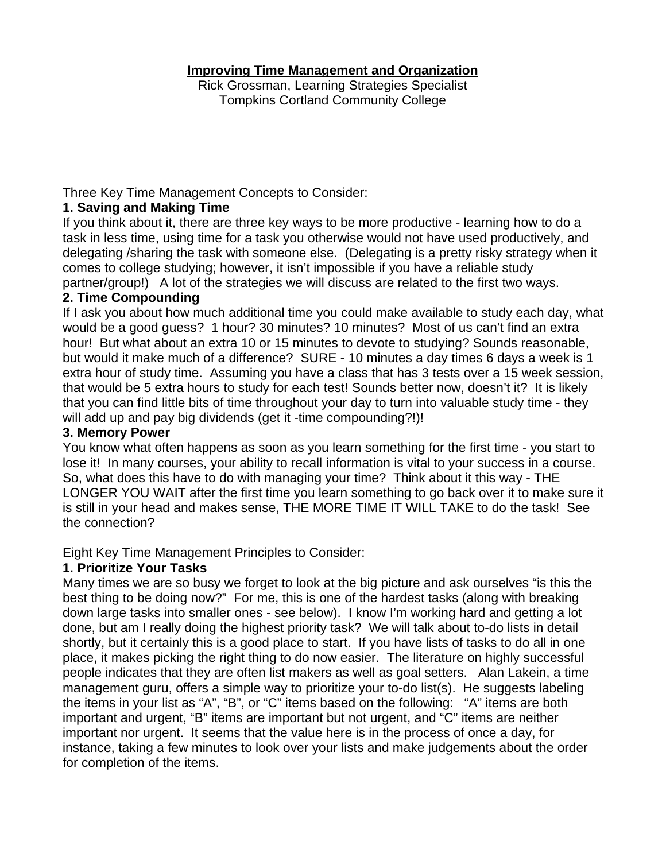### **Improving Time Management and Organization**

Rick Grossman, Learning Strategies Specialist Tompkins Cortland Community College

Three Key Time Management Concepts to Consider:

## **1. Saving and Making Time**

If you think about it, there are three key ways to be more productive - learning how to do a task in less time, using time for a task you otherwise would not have used productively, and delegating /sharing the task with someone else. (Delegating is a pretty risky strategy when it comes to college studying; however, it isn't impossible if you have a reliable study partner/group!) A lot of the strategies we will discuss are related to the first two ways.

## **2. Time Compounding**

If I ask you about how much additional time you could make available to study each day, what would be a good guess? 1 hour? 30 minutes? 10 minutes? Most of us can't find an extra hour! But what about an extra 10 or 15 minutes to devote to studying? Sounds reasonable, but would it make much of a difference? SURE - 10 minutes a day times 6 days a week is 1 extra hour of study time. Assuming you have a class that has 3 tests over a 15 week session, that would be 5 extra hours to study for each test! Sounds better now, doesn't it? It is likely that you can find little bits of time throughout your day to turn into valuable study time - they will add up and pay big dividends (get it -time compounding?!)!

### **3. Memory Power**

You know what often happens as soon as you learn something for the first time - you start to lose it! In many courses, your ability to recall information is vital to your success in a course. So, what does this have to do with managing your time? Think about it this way - THE LONGER YOU WAIT after the first time you learn something to go back over it to make sure it is still in your head and makes sense, THE MORE TIME IT WILL TAKE to do the task! See the connection?

Eight Key Time Management Principles to Consider:

# **1. Prioritize Your Tasks**

Many times we are so busy we forget to look at the big picture and ask ourselves "is this the best thing to be doing now?" For me, this is one of the hardest tasks (along with breaking down large tasks into smaller ones - see below). I know I'm working hard and getting a lot done, but am I really doing the highest priority task? We will talk about to-do lists in detail shortly, but it certainly this is a good place to start. If you have lists of tasks to do all in one place, it makes picking the right thing to do now easier. The literature on highly successful people indicates that they are often list makers as well as goal setters. Alan Lakein, a time management guru, offers a simple way to prioritize your to-do list(s). He suggests labeling the items in your list as "A", "B", or "C" items based on the following: "A" items are both important and urgent, "B" items are important but not urgent, and "C" items are neither important nor urgent. It seems that the value here is in the process of once a day, for instance, taking a few minutes to look over your lists and make judgements about the order for completion of the items.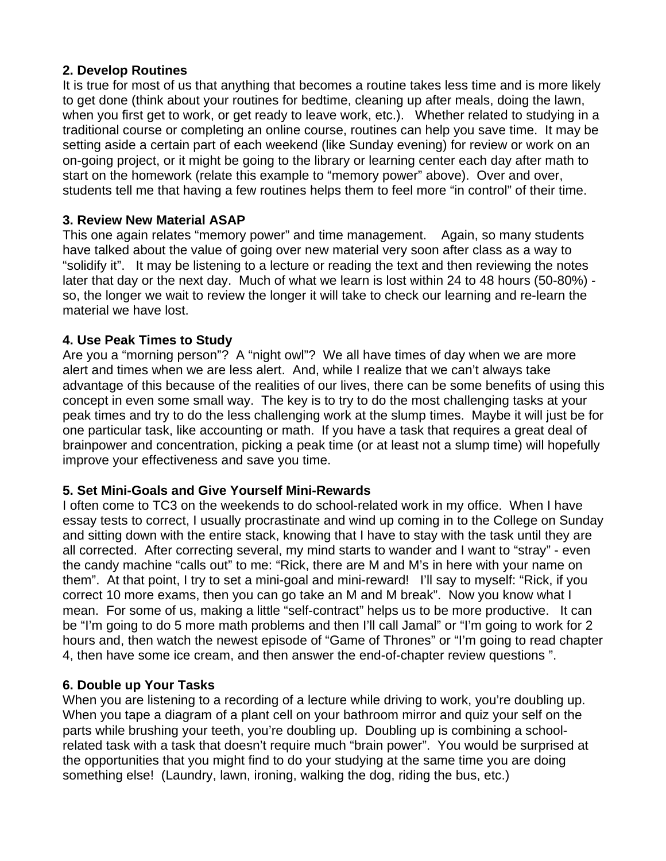## **2. Develop Routines**

It is true for most of us that anything that becomes a routine takes less time and is more likely to get done (think about your routines for bedtime, cleaning up after meals, doing the lawn, when you first get to work, or get ready to leave work, etc.). Whether related to studying in a traditional course or completing an online course, routines can help you save time. It may be setting aside a certain part of each weekend (like Sunday evening) for review or work on an on-going project, or it might be going to the library or learning center each day after math to start on the homework (relate this example to "memory power" above). Over and over, students tell me that having a few routines helps them to feel more "in control" of their time.

## **3. Review New Material ASAP**

This one again relates "memory power" and time management. Again, so many students have talked about the value of going over new material very soon after class as a way to "solidify it". It may be listening to a lecture or reading the text and then reviewing the notes later that day or the next day. Much of what we learn is lost within 24 to 48 hours (50-80%) so, the longer we wait to review the longer it will take to check our learning and re-learn the material we have lost.

## **4. Use Peak Times to Study**

Are you a "morning person"? A "night owl"? We all have times of day when we are more alert and times when we are less alert. And, while I realize that we can't always take advantage of this because of the realities of our lives, there can be some benefits of using this concept in even some small way. The key is to try to do the most challenging tasks at your peak times and try to do the less challenging work at the slump times. Maybe it will just be for one particular task, like accounting or math. If you have a task that requires a great deal of brainpower and concentration, picking a peak time (or at least not a slump time) will hopefully improve your effectiveness and save you time.

#### **5. Set Mini-Goals and Give Yourself Mini-Rewards**

I often come to TC3 on the weekends to do school-related work in my office. When I have essay tests to correct, I usually procrastinate and wind up coming in to the College on Sunday and sitting down with the entire stack, knowing that I have to stay with the task until they are all corrected. After correcting several, my mind starts to wander and I want to "stray" - even the candy machine "calls out" to me: "Rick, there are M and M's in here with your name on them". At that point, I try to set a mini-goal and mini-reward! I'll say to myself: "Rick, if you correct 10 more exams, then you can go take an M and M break". Now you know what I mean. For some of us, making a little "self-contract" helps us to be more productive. It can be "I'm going to do 5 more math problems and then I'll call Jamal" or "I'm going to work for 2 hours and, then watch the newest episode of "Game of Thrones" or "I'm going to read chapter 4, then have some ice cream, and then answer the end-of-chapter review questions ".

#### **6. Double up Your Tasks**

When you are listening to a recording of a lecture while driving to work, you're doubling up. When you tape a diagram of a plant cell on your bathroom mirror and quiz your self on the parts while brushing your teeth, you're doubling up. Doubling up is combining a schoolrelated task with a task that doesn't require much "brain power". You would be surprised at the opportunities that you might find to do your studying at the same time you are doing something else! (Laundry, lawn, ironing, walking the dog, riding the bus, etc.)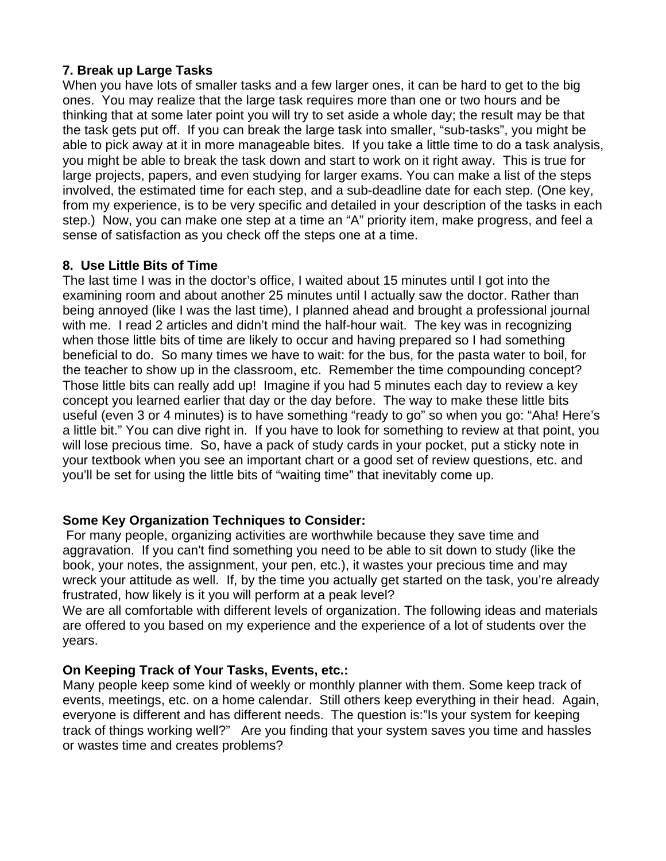# **7. Break up Large Tasks**

When you have lots of smaller tasks and a few larger ones, it can be hard to get to the big ones. You may realize that the large task requires more than one or two hours and be thinking that at some later point you will try to set aside a whole day; the result may be that the task gets put off. If you can break the large task into smaller, "sub-tasks", you might be able to pick away at it in more manageable bites. If you take a little time to do a task analysis, you might be able to break the task down and start to work on it right away. This is true for large projects, papers, and even studying for larger exams. You can make a list of the steps involved, the estimated time for each step, and a sub-deadline date for each step. (One key, from my experience, is to be very specific and detailed in your description of the tasks in each step.) Now, you can make one step at a time an "A" priority item, make progress, and feel a sense of satisfaction as you check off the steps one at a time.

## **8. Use Little Bits of Time**

The last time I was in the doctor's office, I waited about 15 minutes until I got into the examining room and about another 25 minutes until I actually saw the doctor. Rather than being annoyed (like I was the last time), I planned ahead and brought a professional journal with me. I read 2 articles and didn't mind the half-hour wait. The key was in recognizing when those little bits of time are likely to occur and having prepared so I had something beneficial to do. So many times we have to wait: for the bus, for the pasta water to boil, for the teacher to show up in the classroom, etc. Remember the time compounding concept? Those little bits can really add up! Imagine if you had 5 minutes each day to review a key concept you learned earlier that day or the day before. The way to make these little bits useful (even 3 or 4 minutes) is to have something "ready to go" so when you go: "Aha! Here's a little bit." You can dive right in. If you have to look for something to review at that point, you will lose precious time. So, have a pack of study cards in your pocket, put a sticky note in your textbook when you see an important chart or a good set of review questions, etc. and you'll be set for using the little bits of "waiting time" that inevitably come up.

# **Some Key Organization Techniques to Consider:**

For many people, organizing activities are worthwhile because they save time and aggravation. If you can't find something you need to be able to sit down to study (like the book, your notes, the assignment, your pen, etc.), it wastes your precious time and may wreck your attitude as well. If, by the time you actually get started on the task, you're already frustrated, how likely is it you will perform at a peak level?

We are all comfortable with different levels of organization. The following ideas and materials are offered to you based on my experience and the experience of a lot of students over the years.

# **On Keeping Track of Your Tasks, Events, etc.:**

Many people keep some kind of weekly or monthly planner with them. Some keep track of events, meetings, etc. on a home calendar. Still others keep everything in their head. Again, everyone is different and has different needs. The question is:"Is your system for keeping track of things working well?" Are you finding that your system saves you time and hassles or wastes time and creates problems?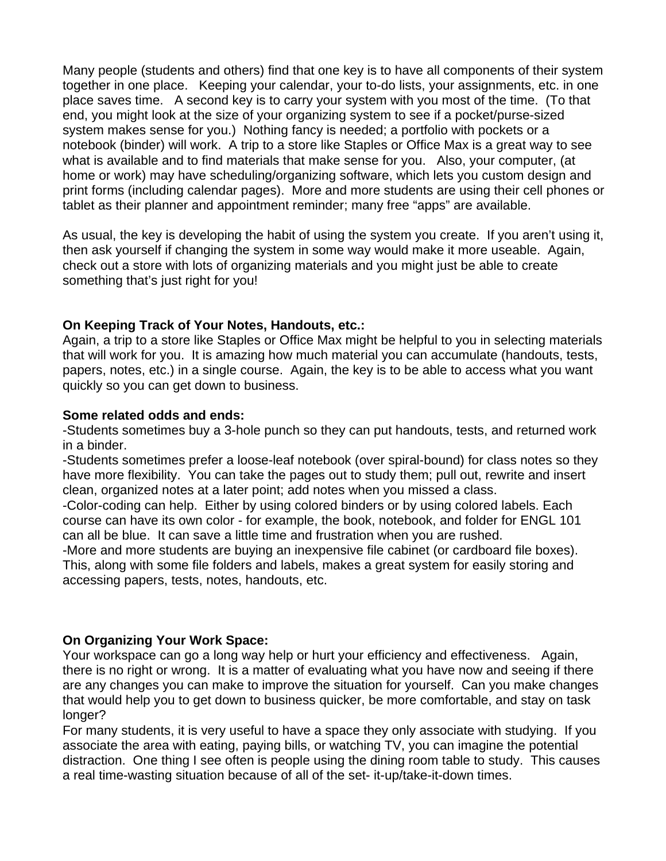Many people (students and others) find that one key is to have all components of their system together in one place. Keeping your calendar, your to-do lists, your assignments, etc. in one place saves time. A second key is to carry your system with you most of the time. (To that end, you might look at the size of your organizing system to see if a pocket/purse-sized system makes sense for you.) Nothing fancy is needed; a portfolio with pockets or a notebook (binder) will work. A trip to a store like Staples or Office Max is a great way to see what is available and to find materials that make sense for you. Also, your computer, (at home or work) may have scheduling/organizing software, which lets you custom design and print forms (including calendar pages). More and more students are using their cell phones or tablet as their planner and appointment reminder; many free "apps" are available.

As usual, the key is developing the habit of using the system you create. If you aren't using it, then ask yourself if changing the system in some way would make it more useable. Again, check out a store with lots of organizing materials and you might just be able to create something that's just right for you!

## **On Keeping Track of Your Notes, Handouts, etc.:**

Again, a trip to a store like Staples or Office Max might be helpful to you in selecting materials that will work for you. It is amazing how much material you can accumulate (handouts, tests, papers, notes, etc.) in a single course. Again, the key is to be able to access what you want quickly so you can get down to business.

#### **Some related odds and ends:**

-Students sometimes buy a 3-hole punch so they can put handouts, tests, and returned work in a binder.

-Students sometimes prefer a loose-leaf notebook (over spiral-bound) for class notes so they have more flexibility. You can take the pages out to study them; pull out, rewrite and insert clean, organized notes at a later point; add notes when you missed a class.

-Color-coding can help. Either by using colored binders or by using colored labels. Each course can have its own color - for example, the book, notebook, and folder for ENGL 101 can all be blue. It can save a little time and frustration when you are rushed.

-More and more students are buying an inexpensive file cabinet (or cardboard file boxes). This, along with some file folders and labels, makes a great system for easily storing and accessing papers, tests, notes, handouts, etc.

# **On Organizing Your Work Space:**

Your workspace can go a long way help or hurt your efficiency and effectiveness. Again, there is no right or wrong. It is a matter of evaluating what you have now and seeing if there are any changes you can make to improve the situation for yourself. Can you make changes that would help you to get down to business quicker, be more comfortable, and stay on task longer?

For many students, it is very useful to have a space they only associate with studying. If you associate the area with eating, paying bills, or watching TV, you can imagine the potential distraction. One thing I see often is people using the dining room table to study. This causes a real time-wasting situation because of all of the set- it-up/take-it-down times.